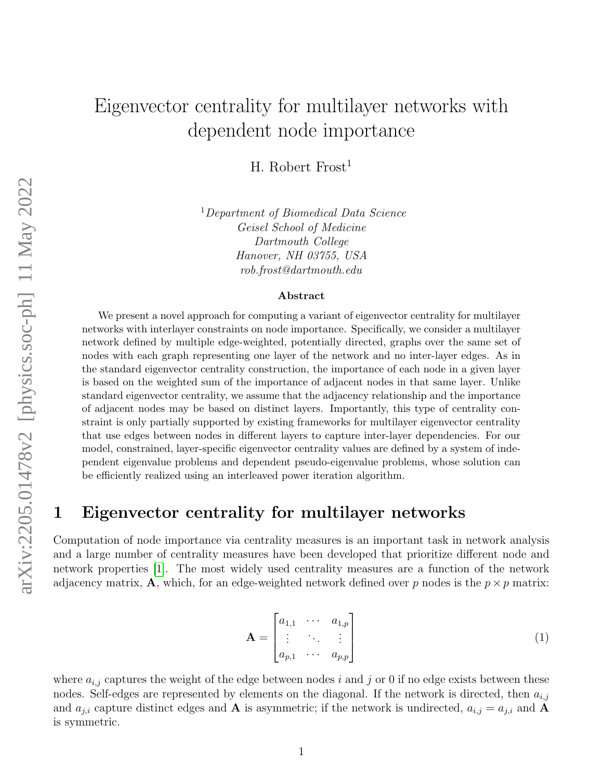# Eigenvector centrality for multilayer networks with dependent node importance

H. Robert  $Frost<sup>1</sup>$ 

<sup>1</sup>Department of Biomedical Data Science Geisel School of Medicine Dartmouth College Hanover, NH 03755, USA rob.frost@dartmouth.edu

#### Abstract

We present a novel approach for computing a variant of eigenvector centrality for multilayer networks with interlayer constraints on node importance. Specifically, we consider a multilayer network defined by multiple edge-weighted, potentially directed, graphs over the same set of nodes with each graph representing one layer of the network and no inter-layer edges. As in the standard eigenvector centrality construction, the importance of each node in a given layer is based on the weighted sum of the importance of adjacent nodes in that same layer. Unlike standard eigenvector centrality, we assume that the adjacency relationship and the importance of adjacent nodes may be based on distinct layers. Importantly, this type of centrality constraint is only partially supported by existing frameworks for multilayer eigenvector centrality that use edges between nodes in different layers to capture inter-layer dependencies. For our model, constrained, layer-specific eigenvector centrality values are defined by a system of independent eigenvalue problems and dependent pseudo-eigenvalue problems, whose solution can be efficiently realized using an interleaved power iteration algorithm.

### 1 Eigenvector centrality for multilayer networks

Computation of node importance via centrality measures is an important task in network analysis and a large number of centrality measures have been developed that prioritize different node and network properties [\[1\]](#page-8-0). The most widely used centrality measures are a function of the network adjacency matrix, **A**, which, for an edge-weighted network defined over p nodes is the  $p \times p$  matrix:

$$
\mathbf{A} = \begin{bmatrix} a_{1,1} & \cdots & a_{1,p} \\ \vdots & \ddots & \vdots \\ a_{p,1} & \cdots & a_{p,p} \end{bmatrix}
$$
 (1)

where  $a_{i,j}$  captures the weight of the edge between nodes i and j or 0 if no edge exists between these nodes. Self-edges are represented by elements on the diagonal. If the network is directed, then  $a_{i,j}$ and  $a_{j,i}$  capture distinct edges and **A** is asymmetric; if the network is undirected,  $a_{i,j} = a_{j,i}$  and **A** is symmetric.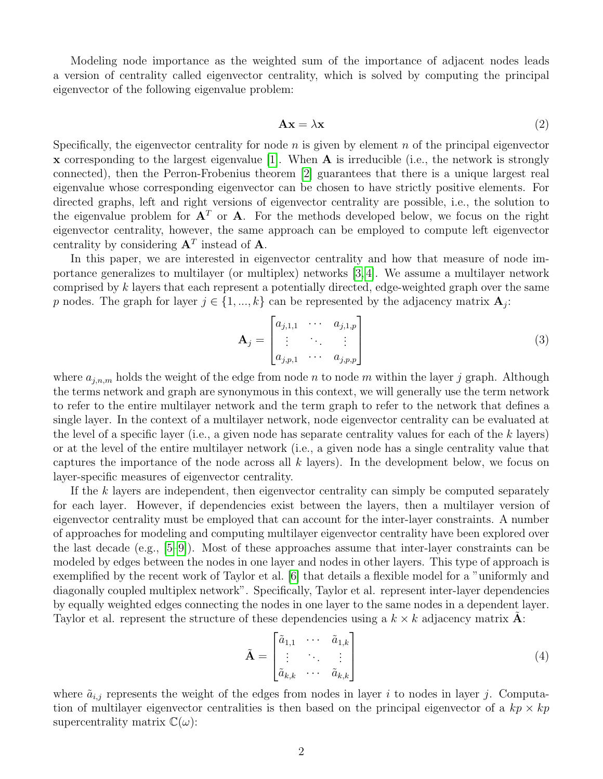Modeling node importance as the weighted sum of the importance of adjacent nodes leads a version of centrality called eigenvector centrality, which is solved by computing the principal eigenvector of the following eigenvalue problem:

<span id="page-1-0"></span>
$$
Ax = \lambda x \tag{2}
$$

Specifically, the eigenvector centrality for node  $n$  is given by element  $n$  of the principal eigenvector x corresponding to the largest eigenvalue [\[1\]](#page-8-0). When  $\bf{A}$  is irreducible (i.e., the network is strongly connected), then the Perron-Frobenius theorem [\[2\]](#page-8-1) guarantees that there is a unique largest real eigenvalue whose corresponding eigenvector can be chosen to have strictly positive elements. For directed graphs, left and right versions of eigenvector centrality are possible, i.e., the solution to the eigenvalue problem for  $A<sup>T</sup>$  or A. For the methods developed below, we focus on the right eigenvector centrality, however, the same approach can be employed to compute left eigenvector centrality by considering  $A<sup>T</sup>$  instead of A.

In this paper, we are interested in eigenvector centrality and how that measure of node importance generalizes to multilayer (or multiplex) networks [\[3,](#page-8-2) [4\]](#page-8-3). We assume a multilayer network comprised by k layers that each represent a potentially directed, edge-weighted graph over the same p nodes. The graph for layer  $j \in \{1, ..., k\}$  can be represented by the adjacency matrix  $\mathbf{A}_j$ :

$$
\mathbf{A}_{j} = \begin{bmatrix} a_{j,1,1} & \cdots & a_{j,1,p} \\ \vdots & \ddots & \vdots \\ a_{j,p,1} & \cdots & a_{j,p,p} \end{bmatrix}
$$
 (3)

where  $a_{j,n,m}$  holds the weight of the edge from node n to node m within the layer j graph. Although the terms network and graph are synonymous in this context, we will generally use the term network to refer to the entire multilayer network and the term graph to refer to the network that defines a single layer. In the context of a multilayer network, node eigenvector centrality can be evaluated at the level of a specific layer (i.e., a given node has separate centrality values for each of the  $k$  layers) or at the level of the entire multilayer network (i.e., a given node has a single centrality value that captures the importance of the node across all  $k$  layers). In the development below, we focus on layer-specific measures of eigenvector centrality.

If the k layers are independent, then eigenvector centrality can simply be computed separately for each layer. However, if dependencies exist between the layers, then a multilayer version of eigenvector centrality must be employed that can account for the inter-layer constraints. A number of approaches for modeling and computing multilayer eigenvector centrality have been explored over the last decade (e.g., [\[5](#page-8-4)[–9\]](#page-8-5)). Most of these approaches assume that inter-layer constraints can be modeled by edges between the nodes in one layer and nodes in other layers. This type of approach is exemplified by the recent work of Taylor et al. [\[6\]](#page-8-6) that details a flexible model for a "uniformly and diagonally coupled multiplex network". Specifically, Taylor et al. represent inter-layer dependencies by equally weighted edges connecting the nodes in one layer to the same nodes in a dependent layer. Taylor et al. represent the structure of these dependencies using a  $k \times k$  adjacency matrix A:

<span id="page-1-1"></span>
$$
\tilde{\mathbf{A}} = \begin{bmatrix} \tilde{a}_{1,1} & \cdots & \tilde{a}_{1,k} \\ \vdots & \ddots & \vdots \\ \tilde{a}_{k,k} & \cdots & \tilde{a}_{k,k} \end{bmatrix}
$$
(4)

where  $\tilde{a}_{i,j}$  represents the weight of the edges from nodes in layer i to nodes in layer j. Computation of multilayer eigenvector centralities is then based on the principal eigenvector of a  $kp \times kp$ supercentrality matrix  $\mathbb{C}(\omega)$ :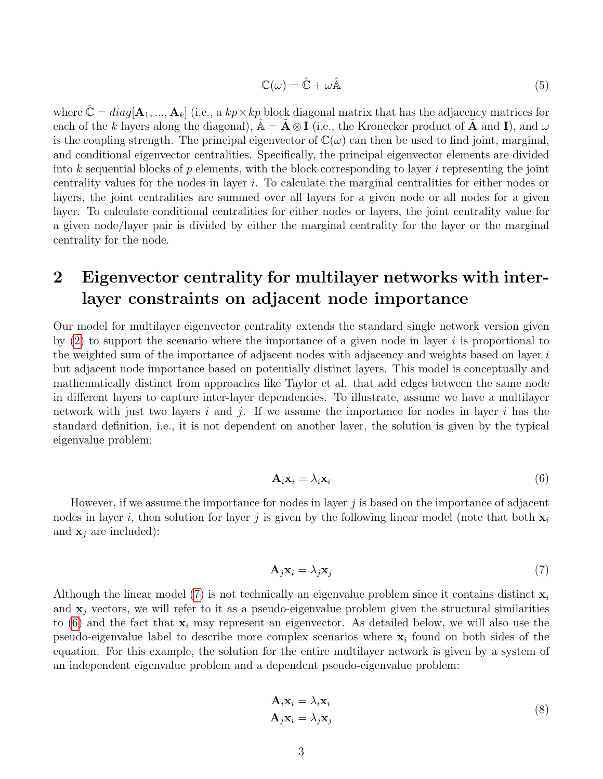<span id="page-2-3"></span>
$$
\mathbb{C}(\omega) = \hat{\mathbb{C}} + \omega \hat{\mathbb{A}} \tag{5}
$$

where  $\mathbb{C} = diag[\mathbf{A}_1, ..., \mathbf{A}_k]$  (i.e., a  $kp \times kp$  block diagonal matrix that has the adjacency matrices for each of the k layers along the diagonal),  $\mathbb{A} = \mathbf{A} \otimes \mathbf{I}$  (i.e., the Kronecker product of  $\mathbf{A}$  and  $\mathbf{I}$ ), and  $\omega$ is the coupling strength. The principal eigenvector of  $\mathbb{C}(\omega)$  can then be used to find joint, marginal, and conditional eigenvector centralities. Specifically, the principal eigenvector elements are divided into k sequential blocks of  $p$  elements, with the block corresponding to layer i representing the joint centrality values for the nodes in layer i. To calculate the marginal centralities for either nodes or layers, the joint centralities are summed over all layers for a given node or all nodes for a given layer. To calculate conditional centralities for either nodes or layers, the joint centrality value for a given node/layer pair is divided by either the marginal centrality for the layer or the marginal centrality for the node.

# <span id="page-2-4"></span>2 Eigenvector centrality for multilayer networks with interlayer constraints on adjacent node importance

Our model for multilayer eigenvector centrality extends the standard single network version given by  $(2)$  to support the scenario where the importance of a given node in layer i is proportional to the weighted sum of the importance of adjacent nodes with adjacency and weights based on layer i but adjacent node importance based on potentially distinct layers. This model is conceptually and mathematically distinct from approaches like Taylor et al. that add edges between the same node in different layers to capture inter-layer dependencies. To illustrate, assume we have a multilayer network with just two layers i and j. If we assume the importance for nodes in layer i has the standard definition, i.e., it is not dependent on another layer, the solution is given by the typical eigenvalue problem:

<span id="page-2-1"></span>
$$
\mathbf{A}_i \mathbf{x}_i = \lambda_i \mathbf{x}_i \tag{6}
$$

However, if we assume the importance for nodes in layer  $j$  is based on the importance of adjacent nodes in layer i, then solution for layer j is given by the following linear model (note that both  $x_i$ ) and  $\mathbf{x}_i$  are included):

<span id="page-2-0"></span>
$$
\mathbf{A}_j \mathbf{x}_i = \lambda_j \mathbf{x}_j \tag{7}
$$

Although the linear model [\(7\)](#page-2-0) is not technically an eigenvalue problem since it contains distinct  $x_i$ and  $x_i$  vectors, we will refer to it as a pseudo-eigenvalue problem given the structural similarities to  $(6)$  and the fact that  $\mathbf{x}_i$  may represent an eigenvector. As detailed below, we will also use the pseudo-eigenvalue label to describe more complex scenarios where  $x_i$  found on both sides of the equation. For this example, the solution for the entire multilayer network is given by a system of an independent eigenvalue problem and a dependent pseudo-eigenvalue problem:

<span id="page-2-2"></span>
$$
\mathbf{A}_i \mathbf{x}_i = \lambda_i \mathbf{x}_i \n\mathbf{A}_j \mathbf{x}_i = \lambda_j \mathbf{x}_j
$$
\n(8)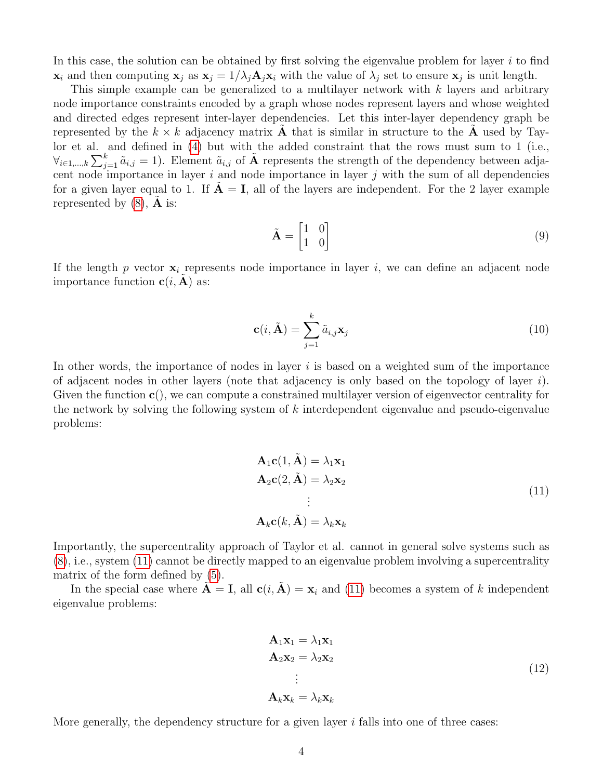In this case, the solution can be obtained by first solving the eigenvalue problem for layer  $i$  to find  $\mathbf{x}_i$  and then computing  $\mathbf{x}_j$  as  $\mathbf{x}_j = 1/\lambda_j \mathbf{A}_j \mathbf{x}_i$  with the value of  $\lambda_j$  set to ensure  $\mathbf{x}_j$  is unit length.

This simple example can be generalized to a multilayer network with  $k$  layers and arbitrary node importance constraints encoded by a graph whose nodes represent layers and whose weighted and directed edges represent inter-layer dependencies. Let this inter-layer dependency graph be represented by the  $k \times k$  adjacency matrix **A** that is similar in structure to the **A** used by Taylor et al. and defined in [\(4\)](#page-1-1) but with the added constraint that the rows must sum to 1 (i.e.,  $\forall_{i\in 1,\dots,k}\sum_{j=1}^k \tilde{a}_{i,j} = 1$ . Element  $\tilde{a}_{i,j}$  of  $\tilde{A}$  represents the strength of the dependency between adjacent node importance in layer  $i$  and node importance in layer  $j$  with the sum of all dependencies for a given layer equal to 1. If  $A = I$ , all of the layers are independent. For the 2 layer example represented by  $(8)$ , **A** is:

$$
\tilde{\mathbf{A}} = \begin{bmatrix} 1 & 0 \\ 1 & 0 \end{bmatrix} \tag{9}
$$

If the length p vector  $x_i$  represents node importance in layer i, we can define an adjacent node importance function  $c(i, A)$  as:

$$
\mathbf{c}(i, \tilde{\mathbf{A}}) = \sum_{j=1}^{k} \tilde{a}_{i,j} \mathbf{x}_j
$$
(10)

In other words, the importance of nodes in layer  $i$  is based on a weighted sum of the importance of adjacent nodes in other layers (note that adjacency is only based on the topology of layer  $i$ ). Given the function  $c()$ , we can compute a constrained multilayer version of eigenvector centrality for the network by solving the following system of  $k$  interdependent eigenvalue and pseudo-eigenvalue problems:

<span id="page-3-0"></span>
$$
\mathbf{A}_1 \mathbf{c}(1, \tilde{\mathbf{A}}) = \lambda_1 \mathbf{x}_1
$$
  
\n
$$
\mathbf{A}_2 \mathbf{c}(2, \tilde{\mathbf{A}}) = \lambda_2 \mathbf{x}_2
$$
  
\n
$$
\vdots
$$
  
\n
$$
\mathbf{A}_k \mathbf{c}(k, \tilde{\mathbf{A}}) = \lambda_k \mathbf{x}_k
$$
\n(11)

Importantly, the supercentrality approach of Taylor et al. cannot in general solve systems such as [\(8\)](#page-2-2), i.e., system [\(11\)](#page-3-0) cannot be directly mapped to an eigenvalue problem involving a supercentrality matrix of the form defined by [\(5\)](#page-2-3).

In the special case where  $\tilde{\mathbf{A}} = \mathbf{I}$ , all  $\mathbf{c}(i, \tilde{\mathbf{A}}) = \mathbf{x}_i$  and [\(11\)](#page-3-0) becomes a system of k independent eigenvalue problems:

$$
\mathbf{A}_1 \mathbf{x}_1 = \lambda_1 \mathbf{x}_1 \n\mathbf{A}_2 \mathbf{x}_2 = \lambda_2 \mathbf{x}_2 \n\vdots \n\mathbf{A}_k \mathbf{x}_k = \lambda_k \mathbf{x}_k
$$
\n(12)

More generally, the dependency structure for a given layer  $i$  falls into one of three cases: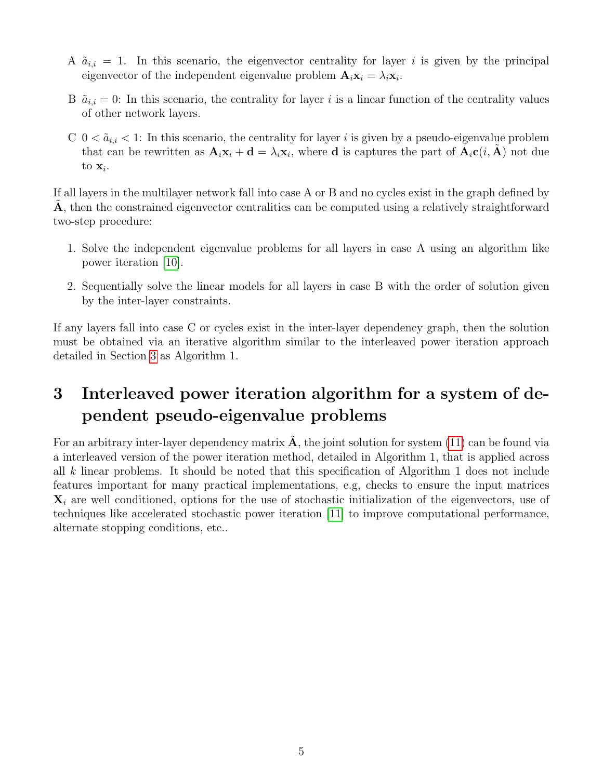- A  $\tilde{a}_{i,i} = 1$ . In this scenario, the eigenvector centrality for layer i is given by the principal eigenvector of the independent eigenvalue problem  $\mathbf{A}_i \mathbf{x}_i = \lambda_i \mathbf{x}_i$ .
- B  $\tilde{a}_{i,i} = 0$ : In this scenario, the centrality for layer i is a linear function of the centrality values of other network layers.
- $C \space 0 < \tilde{a}_{i,i} < 1$ : In this scenario, the centrality for layer is given by a pseudo-eigenvalue problem that can be rewritten as  $\mathbf{A}_i \mathbf{x}_i + \mathbf{d} = \lambda_i \mathbf{x}_i$ , where **d** is captures the part of  $\mathbf{A}_i \mathbf{c}(i, \tilde{\mathbf{A}})$  not due to  $\mathbf{x}_i$ .

If all layers in the multilayer network fall into case A or B and no cycles exist in the graph defined by A, then the constrained eigenvector centralities can be computed using a relatively straightforward two-step procedure:

- 1. Solve the independent eigenvalue problems for all layers in case A using an algorithm like power iteration [\[10\]](#page-8-7).
- 2. Sequentially solve the linear models for all layers in case B with the order of solution given by the inter-layer constraints.

If any layers fall into case C or cycles exist in the inter-layer dependency graph, then the solution must be obtained via an iterative algorithm similar to the interleaved power iteration approach detailed in Section [3](#page-4-0) as Algorithm 1.

# <span id="page-4-0"></span>3 Interleaved power iteration algorithm for a system of dependent pseudo-eigenvalue problems

For an arbitrary inter-layer dependency matrix  $\bf{A}$ , the joint solution for system [\(11\)](#page-3-0) can be found via a interleaved version of the power iteration method, detailed in Algorithm 1, that is applied across all k linear problems. It should be noted that this specification of Algorithm 1 does not include features important for many practical implementations, e.g, checks to ensure the input matrices  $\mathbf{X}_i$  are well conditioned, options for the use of stochastic initialization of the eigenvectors, use of techniques like accelerated stochastic power iteration [\[11\]](#page-8-8) to improve computational performance, alternate stopping conditions, etc..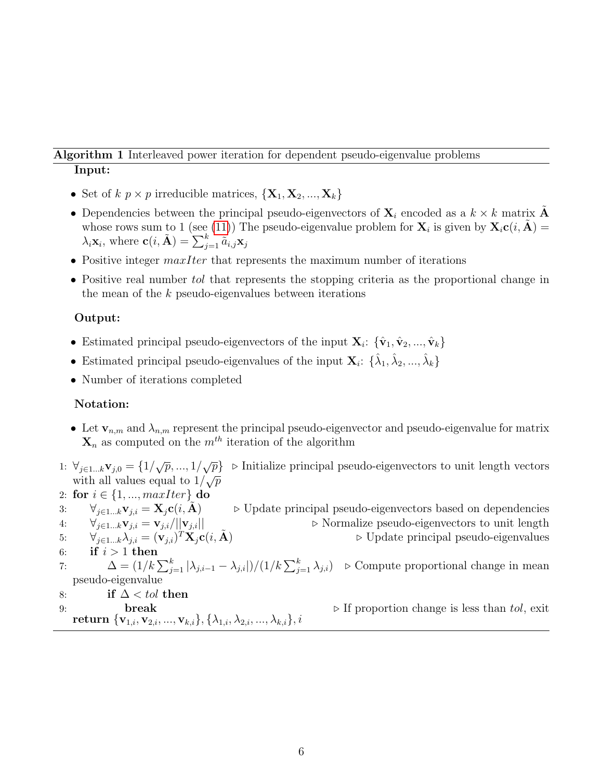### Algorithm 1 Interleaved power iteration for dependent pseudo-eigenvalue problems Input:

- Set of  $k \, p \times p$  irreducible matrices,  $\{X_1, X_2, ..., X_k\}$
- Dependencies between the principal pseudo-eigenvectors of  $X_i$  encoded as a  $k \times k$  matrix A whose rows sum to 1 (see [\(11\)](#page-3-0)) The pseudo-eigenvalue problem for  $\mathbf{X}_i$  is given by  $\mathbf{X}_i \mathbf{c}(i, \tilde{A}) =$  $\lambda_i \mathbf{x}_i$ , where  $\mathbf{c}(i, \tilde{\mathbf{A}}) = \sum_{j=1}^k \tilde{a}_{i,j} \mathbf{x}_j$
- Positive integer  $maxIter$  that represents the maximum number of iterations
- Positive real number to that represents the stopping criteria as the proportional change in the mean of the  $k$  pseudo-eigenvalues between iterations

### Output:

- Estimated principal pseudo-eigenvectors of the input  $\mathbf{X}_i$ :  $\{\hat{\mathbf{v}}_1, \hat{\mathbf{v}}_2, ..., \hat{\mathbf{v}}_k\}$
- Estimated principal pseudo-eigenvalues of the input  $\mathbf{X}_i$ :  $\{\hat{\lambda}_1, \hat{\lambda}_2, ..., \hat{\lambda}_k\}$
- Number of iterations completed

### Notation:

- Let  $\mathbf{v}_{n,m}$  and  $\lambda_{n,m}$  represent the principal pseudo-eigenvector and pseudo-eigenvalue for matrix  $\mathbf{X}_n$  as computed on the  $m^{th}$  iteration of the algorithm
- 1:  $\forall_{j \in 1...k} \mathbf{v}_{j,0} = \{1/\sqrt{p}, ..., 1/\sqrt{p}\}\$  ⊳ Initialize principal pseudo-eigenvectors to unit length vectors  $\mathbf{v}_j \in \mathbb{R}$   $\mathbf{w}_j$ ,  $\mathbf{v}_j = \mathbf{u}_j \vee \mathbf{v}_j$ ,  $\mathbf{v}_j = \mathbf{v}_j \vee \mathbf{v}_j$ <br>with all values equal to  $1/\sqrt{p}$
- 2: for  $i \in \{1, ..., maxIter\}$  do 3:  $\forall_{j\in 1...k}\mathbf{v}_{j,i} = \mathbf{X}_j\mathbf{c}(i,\mathbf{A})$   $\triangleright$  Update principal pseudo-eigenvectors based on dependencies 4:  $\forall_{j\in 1...k}\mathbf{v}_{j,i} = \mathbf{v}_{j,i}/||\mathbf{v}_{j,i}||$   $\triangleright$  Normalize pseudo-eigenvectors to unit length 5:  $\forall_{j\in 1...k}\lambda_{j,i}=(\mathbf{v}_{j,i})^T\mathbf{X}_j\mathbf{c}(i,\tilde{\mathbf{A}})$  $\triangleright$  Update principal pseudo-eigenvalues 6: if  $i > 1$  then 7:  $\Delta = (1/k \sum_{j=1}^{k} |\lambda_{j,i-1} - \lambda_{j,i}|)/(1/k \sum_{j=1}^{k} \lambda_{j,i})$   $\triangleright$  Compute proportional change in mean pseudo-eigenvalue 8: if  $\Delta <$  tol then 9: **break**  $\triangleright$  If proportion change is less than tol, exit return  $\{v_{1,i}, v_{2,i}, ..., v_{k,i}\}, \{\lambda_{1,i}, \lambda_{2,i}, ..., \lambda_{k,i}\}, i$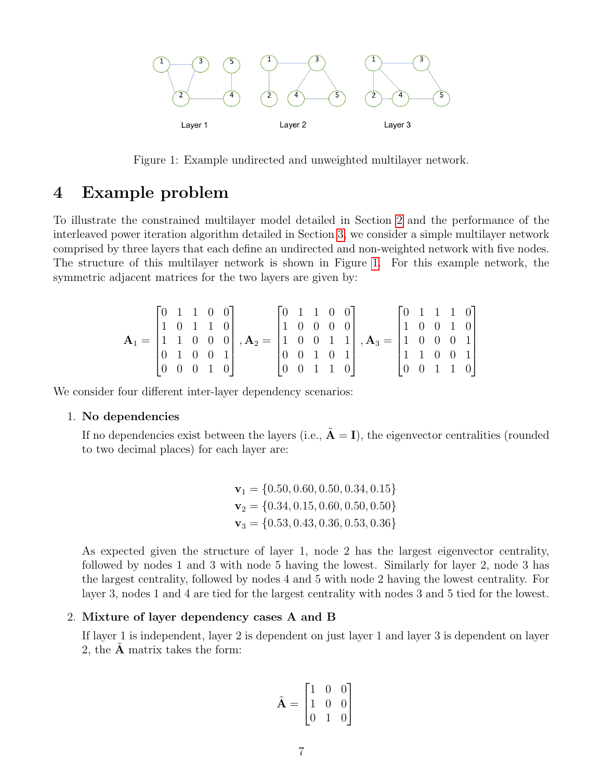<span id="page-6-0"></span>

Figure 1: Example undirected and unweighted multilayer network.

### 4 Example problem

To illustrate the constrained multilayer model detailed in Section [2](#page-2-4) and the performance of the interleaved power iteration algorithm detailed in Section [3,](#page-4-0) we consider a simple multilayer network comprised by three layers that each define an undirected and non-weighted network with five nodes. The structure of this multilayer network is shown in Figure [1.](#page-6-0) For this example network, the symmetric adjacent matrices for the two layers are given by:

$$
\mathbf{A}_1 = \begin{bmatrix} 0 & 1 & 1 & 0 & 0 \\ 1 & 0 & 1 & 1 & 0 \\ 1 & 1 & 0 & 0 & 0 \\ 0 & 1 & 0 & 0 & 1 \\ 0 & 0 & 0 & 1 & 0 \end{bmatrix}, \mathbf{A}_2 = \begin{bmatrix} 0 & 1 & 1 & 0 & 0 \\ 1 & 0 & 0 & 0 & 0 \\ 1 & 0 & 0 & 1 & 1 \\ 0 & 0 & 1 & 0 & 1 \\ 0 & 0 & 1 & 1 & 0 \end{bmatrix}, \mathbf{A}_3 = \begin{bmatrix} 0 & 1 & 1 & 1 & 0 \\ 1 & 0 & 0 & 1 & 0 \\ 1 & 0 & 0 & 0 & 1 \\ 1 & 1 & 0 & 0 & 1 \\ 0 & 0 & 1 & 1 & 0 \end{bmatrix}
$$

We consider four different inter-layer dependency scenarios:

### 1. No dependencies

If no dependencies exist between the layers (i.e.,  $\tilde{A} = I$ ), the eigenvector centralities (rounded to two decimal places) for each layer are:

$$
\mathbf{v}_1 = \{0.50, 0.60, 0.50, 0.34, 0.15\}
$$
  

$$
\mathbf{v}_2 = \{0.34, 0.15, 0.60, 0.50, 0.50\}
$$
  

$$
\mathbf{v}_3 = \{0.53, 0.43, 0.36, 0.53, 0.36\}
$$

As expected given the structure of layer 1, node 2 has the largest eigenvector centrality, followed by nodes 1 and 3 with node 5 having the lowest. Similarly for layer 2, node 3 has the largest centrality, followed by nodes 4 and 5 with node 2 having the lowest centrality. For layer 3, nodes 1 and 4 are tied for the largest centrality with nodes 3 and 5 tied for the lowest.

#### 2. Mixture of layer dependency cases A and B

If layer 1 is independent, layer 2 is dependent on just layer 1 and layer 3 is dependent on layer 2, the  $A$  matrix takes the form:

$$
\tilde{\mathbf{A}} = \begin{bmatrix} 1 & 0 & 0 \\ 1 & 0 & 0 \\ 0 & 1 & 0 \end{bmatrix}
$$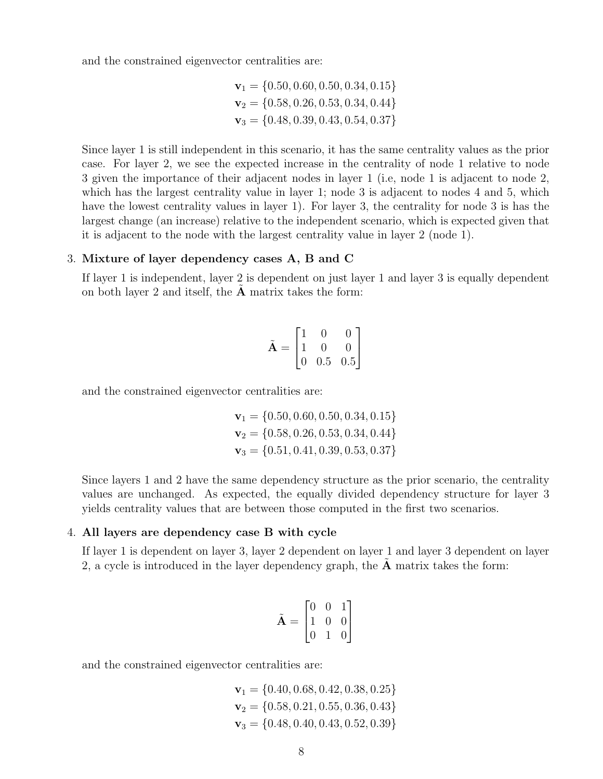and the constrained eigenvector centralities are:

$$
\mathbf{v}_1 = \{0.50, 0.60, 0.50, 0.34, 0.15\}
$$
  

$$
\mathbf{v}_2 = \{0.58, 0.26, 0.53, 0.34, 0.44\}
$$
  

$$
\mathbf{v}_3 = \{0.48, 0.39, 0.43, 0.54, 0.37\}
$$

Since layer 1 is still independent in this scenario, it has the same centrality values as the prior case. For layer 2, we see the expected increase in the centrality of node 1 relative to node 3 given the importance of their adjacent nodes in layer 1 (i.e, node 1 is adjacent to node 2, which has the largest centrality value in layer 1; node 3 is adjacent to nodes 4 and 5, which have the lowest centrality values in layer 1). For layer 3, the centrality for node 3 is has the largest change (an increase) relative to the independent scenario, which is expected given that it is adjacent to the node with the largest centrality value in layer 2 (node 1).

### 3. Mixture of layer dependency cases A, B and C

If layer 1 is independent, layer 2 is dependent on just layer 1 and layer 3 is equally dependent on both layer 2 and itself, the  $A$  matrix takes the form:

$$
\tilde{\mathbf{A}} = \begin{bmatrix} 1 & 0 & 0 \\ 1 & 0 & 0 \\ 0 & 0.5 & 0.5 \end{bmatrix}
$$

and the constrained eigenvector centralities are:

$$
\mathbf{v}_1 = \{0.50, 0.60, 0.50, 0.34, 0.15\}
$$
  

$$
\mathbf{v}_2 = \{0.58, 0.26, 0.53, 0.34, 0.44\}
$$
  

$$
\mathbf{v}_3 = \{0.51, 0.41, 0.39, 0.53, 0.37\}
$$

Since layers 1 and 2 have the same dependency structure as the prior scenario, the centrality values are unchanged. As expected, the equally divided dependency structure for layer 3 yields centrality values that are between those computed in the first two scenarios.

#### 4. All layers are dependency case B with cycle

If layer 1 is dependent on layer 3, layer 2 dependent on layer 1 and layer 3 dependent on layer 2, a cycle is introduced in the layer dependency graph, the  $A$  matrix takes the form:

$$
\tilde{\mathbf{A}} = \begin{bmatrix} 0 & 0 & 1 \\ 1 & 0 & 0 \\ 0 & 1 & 0 \end{bmatrix}
$$

and the constrained eigenvector centralities are:

$$
\mathbf{v}_1 = \{0.40, 0.68, 0.42, 0.38, 0.25\}
$$
  

$$
\mathbf{v}_2 = \{0.58, 0.21, 0.55, 0.36, 0.43\}
$$
  

$$
\mathbf{v}_3 = \{0.48, 0.40, 0.43, 0.52, 0.39\}
$$